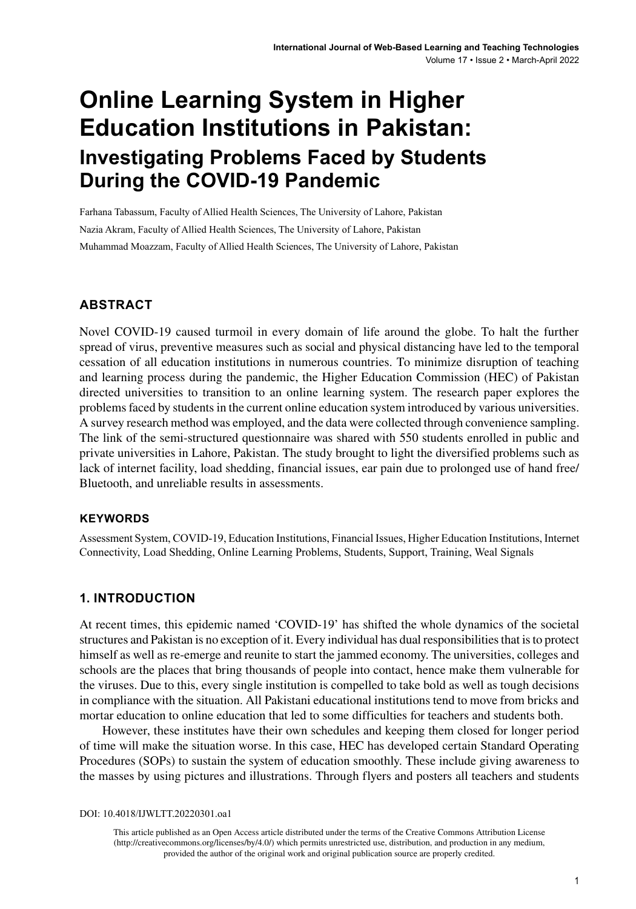# **Online Learning System in Higher Education Institutions in Pakistan: Investigating Problems Faced by Students During the COVID-19 Pandemic**

Farhana Tabassum, Faculty of Allied Health Sciences, The University of Lahore, Pakistan Nazia Akram, Faculty of Allied Health Sciences, The University of Lahore, Pakistan Muhammad Moazzam, Faculty of Allied Health Sciences, The University of Lahore, Pakistan

#### **ABSTRACT**

Novel COVID‐19 caused turmoil in every domain of life around the globe. To halt the further spread of virus, preventive measures such as social and physical distancing have led to the temporal cessation of all education institutions in numerous countries. To minimize disruption of teaching and learning process during the pandemic, the Higher Education Commission (HEC) of Pakistan directed universities to transition to an online learning system. The research paper explores the problems faced by students in the current online education system introduced by various universities. A survey research method was employed, and the data were collected through convenience sampling. The link of the semi-structured questionnaire was shared with 550 students enrolled in public and private universities in Lahore, Pakistan. The study brought to light the diversified problems such as lack of internet facility, load shedding, financial issues, ear pain due to prolonged use of hand free/ Bluetooth, and unreliable results in assessments.

#### **Keywords**

Assessment System, COVID-19, Education Institutions, Financial Issues, Higher Education Institutions, Internet Connectivity, Load Shedding, Online Learning Problems, Students, Support, Training, Weal Signals

#### **1. INTRODUCTION**

At recent times, this epidemic named 'COVID-19' has shifted the whole dynamics of the societal structures and Pakistan is no exception of it. Every individual has dual responsibilities that is to protect himself as well as re-emerge and reunite to start the jammed economy. The universities, colleges and schools are the places that bring thousands of people into contact, hence make them vulnerable for the viruses. Due to this, every single institution is compelled to take bold as well as tough decisions in compliance with the situation. All Pakistani educational institutions tend to move from bricks and mortar education to online education that led to some difficulties for teachers and students both.

However, these institutes have their own schedules and keeping them closed for longer period of time will make the situation worse. In this case, HEC has developed certain Standard Operating Procedures (SOPs) to sustain the system of education smoothly. These include giving awareness to the masses by using pictures and illustrations. Through flyers and posters all teachers and students

DOI: 10.4018/IJWLTT.20220301.oa1

This article published as an Open Access article distributed under the terms of the Creative Commons Attribution License (http://creativecommons.org/licenses/by/4.0/) which permits unrestricted use, distribution, and production in any medium, provided the author of the original work and original publication source are properly credited.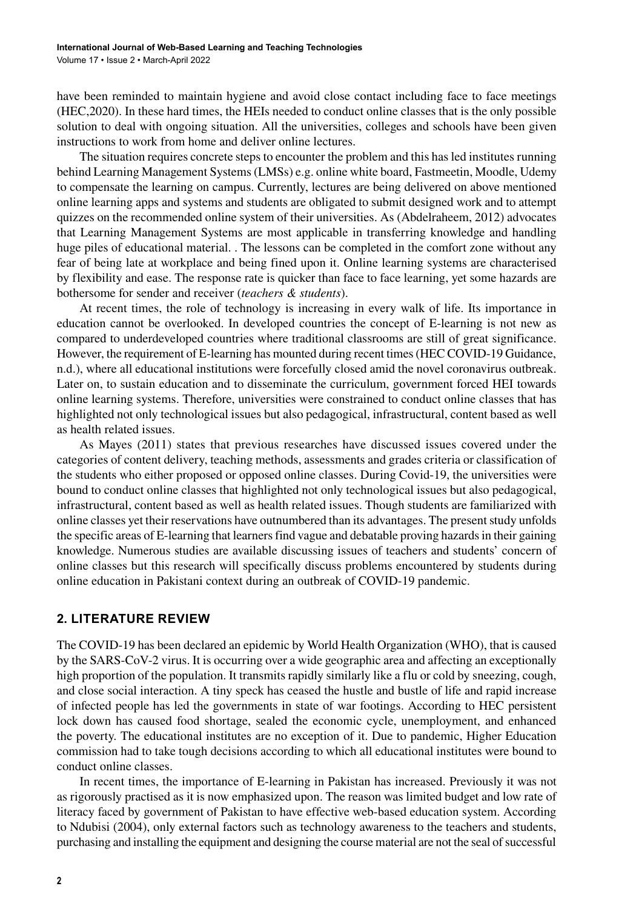have been reminded to maintain hygiene and avoid close contact including face to face meetings (HEC,2020). In these hard times, the HEIs needed to conduct online classes that is the only possible solution to deal with ongoing situation. All the universities, colleges and schools have been given instructions to work from home and deliver online lectures.

The situation requires concrete steps to encounter the problem and this has led institutes running behind Learning Management Systems (LMSs) e.g. online white board, Fastmeetin, Moodle, Udemy to compensate the learning on campus. Currently, lectures are being delivered on above mentioned online learning apps and systems and students are obligated to submit designed work and to attempt quizzes on the recommended online system of their universities. As (Abdelraheem, 2012) advocates that Learning Management Systems are most applicable in transferring knowledge and handling huge piles of educational material. . The lessons can be completed in the comfort zone without any fear of being late at workplace and being fined upon it. Online learning systems are characterised by flexibility and ease. The response rate is quicker than face to face learning, yet some hazards are bothersome for sender and receiver (*teachers & students*).

At recent times, the role of technology is increasing in every walk of life. Its importance in education cannot be overlooked. In developed countries the concept of E-learning is not new as compared to underdeveloped countries where traditional classrooms are still of great significance. However, the requirement of E-learning has mounted during recent times (HEC COVID-19 Guidance, n.d.), where all educational institutions were forcefully closed amid the novel coronavirus outbreak. Later on, to sustain education and to disseminate the curriculum, government forced HEI towards online learning systems. Therefore, universities were constrained to conduct online classes that has highlighted not only technological issues but also pedagogical, infrastructural, content based as well as health related issues.

As Mayes (2011) states that previous researches have discussed issues covered under the categories of content delivery, teaching methods, assessments and grades criteria or classification of the students who either proposed or opposed online classes. During Covid-19, the universities were bound to conduct online classes that highlighted not only technological issues but also pedagogical, infrastructural, content based as well as health related issues. Though students are familiarized with online classes yet their reservations have outnumbered than its advantages. The present study unfolds the specific areas of E-learning that learners find vague and debatable proving hazards in their gaining knowledge. Numerous studies are available discussing issues of teachers and students' concern of online classes but this research will specifically discuss problems encountered by students during online education in Pakistani context during an outbreak of COVID-19 pandemic.

#### **2. LITERATURE REVIEW**

The COVID-19 has been declared an epidemic by World Health Organization (WHO), that is caused by the SARS-CoV-2 virus. It is occurring over a wide geographic area and affecting an exceptionally high proportion of the population. It transmits rapidly similarly like a flu or cold by sneezing, cough, and close social interaction. A tiny speck has ceased the hustle and bustle of life and rapid increase of infected people has led the governments in state of war footings. According to HEC persistent lock down has caused food shortage, sealed the economic cycle, unemployment, and enhanced the poverty. The educational institutes are no exception of it. Due to pandemic, Higher Education commission had to take tough decisions according to which all educational institutes were bound to conduct online classes.

In recent times, the importance of E-learning in Pakistan has increased. Previously it was not as rigorously practised as it is now emphasized upon. The reason was limited budget and low rate of literacy faced by government of Pakistan to have effective web-based education system. According to Ndubisi (2004), only external factors such as technology awareness to the teachers and students, purchasing and installing the equipment and designing the course material are not the seal of successful